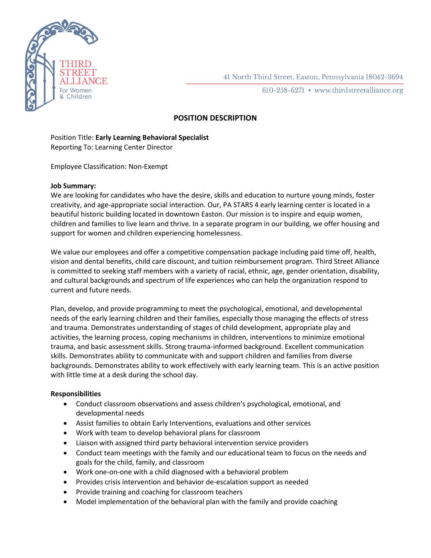

41 North Third Street, Easton, Pennsylvania 18042-3694

610-258-6271 • www.thirdstreetalliance.org

# **POSITION DESCRIPTION**

## Position Title: **Early Learning Behavioral Specialist** Reporting To: Learning Center Director

Employee Classification: Non-Exempt

## **Job Summary:**

We are looking for candidates who have the desire, skills and education to nurture young minds, foster creativity, and age-appropriate social interaction. Our, PA STARS 4 early learning center is located in a beautiful historic building located in downtown Easton. Our mission is to inspire and equip women, children and families to live learn and thrive. In a separate program in our building, we offer housing and support for women and children experiencing homelessness.

We value our employees and offer a competitive compensation package including paid time off, health, vision and dental benefits, child care discount, and tuition reimbursement program. Third Street Alliance is committed to seeking staff members with a variety of racial, ethnic, age, gender orientation, disability, and cultural backgrounds and spectrum of life experiences who can help the organization respond to current and future needs.

Plan, develop, and provide programming to meet the psychological, emotional, and developmental needs of the early learning children and their families, especially those managing the effects of stress and trauma. Demonstrates understanding of stages of child development, appropriate play and activities, the learning process, coping mechanisms in children, interventions to minimize emotional trauma, and basic assessment skills. Strong trauma-informed background. Excellent communication skills. Demonstrates ability to communicate with and support children and families from diverse backgrounds. Demonstrates ability to work effectively with early learning team. This is an active position with little time at a desk during the school day.

## **Responsibilities**

- Conduct classroom observations and assess children's psychological, emotional, and developmental needs
- Assist families to obtain Early Interventions, evaluations and other services
- Work with team to develop behavioral plans for classroom
- Liaison with assigned third party behavioral intervention service providers
- Conduct team meetings with the family and our educational team to focus on the needs and goals for the child, family, and classroom
- Work one-on-one with a child diagnosed with a behavioral problem
- Provides crisis intervention and behavior de-escalation support as needed
- Provide training and coaching for classroom teachers
- Model implementation of the behavioral plan with the family and provide coaching